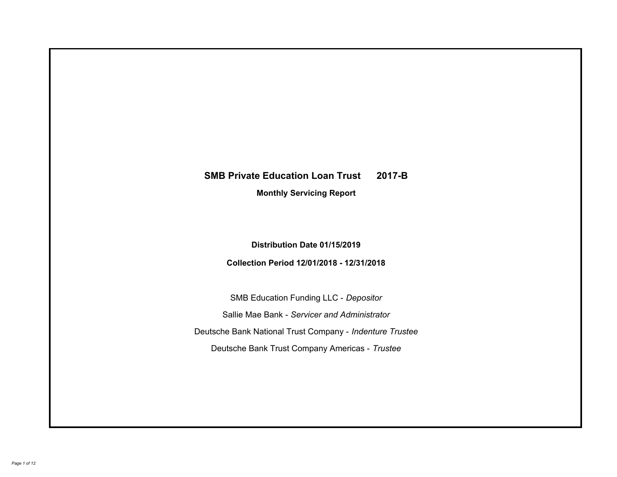# **SMB Private Education Loan Trust 2017-B Monthly Servicing Report**

## **Distribution Date 01/15/2019**

## **Collection Period 12/01/2018 - 12/31/2018**

SMB Education Funding LLC - *Depositor* Sallie Mae Bank - *Servicer and Administrator* Deutsche Bank National Trust Company - *Indenture Trustee* Deutsche Bank Trust Company Americas - *Trustee*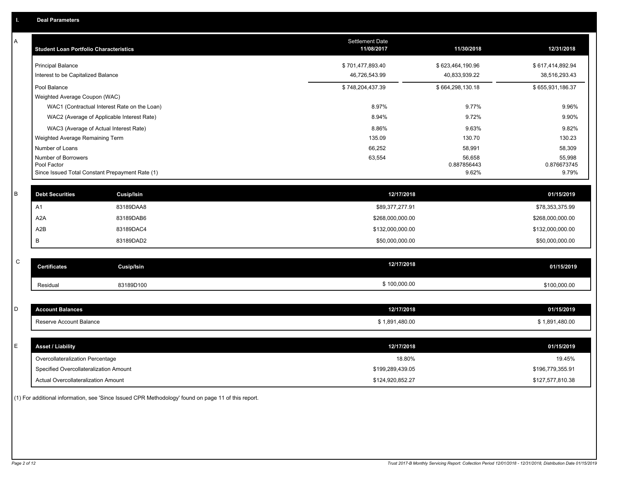| Α | <b>Student Loan Portfolio Characteristics</b>   |                                              | <b>Settlement Date</b><br>11/08/2017 | 11/30/2018            | 12/31/2018            |
|---|-------------------------------------------------|----------------------------------------------|--------------------------------------|-----------------------|-----------------------|
|   | <b>Principal Balance</b>                        |                                              | \$701,477,893.40                     | \$623,464,190.96      | \$617,414,892.94      |
|   | Interest to be Capitalized Balance              |                                              | 46,726,543.99                        | 40,833,939.22         | 38,516,293.43         |
|   | Pool Balance                                    |                                              | \$748,204,437.39                     | \$664,298,130.18      | \$655,931,186.37      |
|   | Weighted Average Coupon (WAC)                   |                                              |                                      |                       |                       |
|   |                                                 | WAC1 (Contractual Interest Rate on the Loan) | 8.97%                                | 9.77%                 | 9.96%                 |
|   | WAC2 (Average of Applicable Interest Rate)      |                                              | 8.94%                                | 9.72%                 | 9.90%                 |
|   | WAC3 (Average of Actual Interest Rate)          |                                              | 8.86%                                | 9.63%                 | 9.82%                 |
|   | Weighted Average Remaining Term                 |                                              | 135.09                               | 130.70                | 130.23                |
|   | Number of Loans                                 |                                              | 66,252                               | 58,991                | 58,309                |
|   | Number of Borrowers<br>Pool Factor              |                                              | 63,554                               | 56,658<br>0.887856443 | 55,998<br>0.876673745 |
|   | Since Issued Total Constant Prepayment Rate (1) |                                              |                                      | 9.62%                 | 9.79%                 |
|   |                                                 |                                              |                                      |                       |                       |
| B | <b>Debt Securities</b>                          | Cusip/Isin                                   | 12/17/2018                           |                       | 01/15/2019            |
|   | A <sub>1</sub>                                  | 83189DAA8                                    | \$89,377,277.91                      |                       | \$78,353,375.99       |
|   | A <sub>2</sub> A                                | 83189DAB6                                    | \$268,000,000.00                     |                       | \$268,000,000.00      |
|   | A <sub>2</sub> B                                | 83189DAC4                                    | \$132,000,000.00                     |                       | \$132,000,000.00      |
|   | B                                               | 83189DAD2                                    | \$50,000,000.00                      |                       | \$50,000,000.00       |
|   |                                                 |                                              |                                      |                       |                       |
| C | <b>Certificates</b>                             | <b>Cusip/Isin</b>                            | 12/17/2018                           |                       | 01/15/2019            |
|   | Residual                                        | 83189D100                                    | \$100,000.00                         |                       | \$100,000.00          |
|   |                                                 |                                              |                                      |                       |                       |
| D | <b>Account Balances</b>                         |                                              | 12/17/2018                           |                       | 01/15/2019            |
|   | Reserve Account Balance                         |                                              | \$1,891,480.00                       |                       | \$1,891,480.00        |
|   |                                                 |                                              |                                      |                       |                       |
| Е | <b>Asset / Liability</b>                        |                                              | 12/17/2018                           |                       | 01/15/2019            |
|   | Overcollateralization Percentage                |                                              | 18.80%                               |                       | 19.45%                |
|   | Specified Overcollateralization Amount          |                                              | \$199,289,439.05                     |                       | \$196,779,355.91      |
|   | <b>Actual Overcollateralization Amount</b>      |                                              | \$124,920,852.27                     |                       | \$127,577,810.38      |

(1) For additional information, see 'Since Issued CPR Methodology' found on page 11 of this report.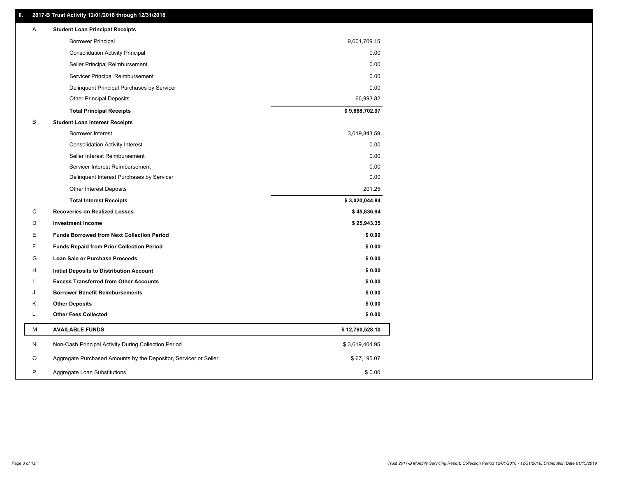### **II. 2017-B Trust Activity 12/01/2018 through 12/31/2018**

| <b>Borrower Principal</b><br>9,601,709.15<br><b>Consolidation Activity Principal</b><br>0.00<br>0.00<br>Seller Principal Reimbursement<br>0.00<br>Servicer Principal Reimbursement<br>0.00<br>Delinquent Principal Purchases by Servicer<br>66,993.82<br><b>Other Principal Deposits</b><br>\$9,668,702.97<br><b>Total Principal Receipts</b><br>B<br><b>Student Loan Interest Receipts</b><br><b>Borrower Interest</b><br>3,019,843.59<br>0.00<br><b>Consolidation Activity Interest</b><br>0.00<br>Seller Interest Reimbursement<br>0.00<br>Servicer Interest Reimbursement<br>0.00<br>Delinquent Interest Purchases by Servicer<br>201.25<br><b>Other Interest Deposits</b><br>\$3,020,044.84<br><b>Total Interest Receipts</b><br>C<br><b>Recoveries on Realized Losses</b><br>\$45,836.94<br>D<br><b>Investment Income</b><br>\$25,943.35<br>Ε<br><b>Funds Borrowed from Next Collection Period</b><br>\$0.00<br>F<br>\$0.00<br><b>Funds Repaid from Prior Collection Period</b><br>G<br>\$0.00<br>Loan Sale or Purchase Proceeds<br>\$0.00<br>Н<br>Initial Deposits to Distribution Account<br>\$0.00<br><b>Excess Transferred from Other Accounts</b><br><b>Borrower Benefit Reimbursements</b><br>\$0.00<br>J<br><b>Other Deposits</b><br>\$0.00<br>Κ<br>L<br><b>Other Fees Collected</b><br>\$0.00<br>М<br><b>AVAILABLE FUNDS</b><br>\$12,760,528.10<br>N<br>Non-Cash Principal Activity During Collection Period<br>\$3,619,404.95<br>O<br>Aggregate Purchased Amounts by the Depositor, Servicer or Seller<br>\$67,195.07<br>P<br>\$0.00<br>Aggregate Loan Substitutions | Α | <b>Student Loan Principal Receipts</b> |  |
|-------------------------------------------------------------------------------------------------------------------------------------------------------------------------------------------------------------------------------------------------------------------------------------------------------------------------------------------------------------------------------------------------------------------------------------------------------------------------------------------------------------------------------------------------------------------------------------------------------------------------------------------------------------------------------------------------------------------------------------------------------------------------------------------------------------------------------------------------------------------------------------------------------------------------------------------------------------------------------------------------------------------------------------------------------------------------------------------------------------------------------------------------------------------------------------------------------------------------------------------------------------------------------------------------------------------------------------------------------------------------------------------------------------------------------------------------------------------------------------------------------------------------------------------------------------------------------------|---|----------------------------------------|--|
|                                                                                                                                                                                                                                                                                                                                                                                                                                                                                                                                                                                                                                                                                                                                                                                                                                                                                                                                                                                                                                                                                                                                                                                                                                                                                                                                                                                                                                                                                                                                                                                     |   |                                        |  |
|                                                                                                                                                                                                                                                                                                                                                                                                                                                                                                                                                                                                                                                                                                                                                                                                                                                                                                                                                                                                                                                                                                                                                                                                                                                                                                                                                                                                                                                                                                                                                                                     |   |                                        |  |
|                                                                                                                                                                                                                                                                                                                                                                                                                                                                                                                                                                                                                                                                                                                                                                                                                                                                                                                                                                                                                                                                                                                                                                                                                                                                                                                                                                                                                                                                                                                                                                                     |   |                                        |  |
|                                                                                                                                                                                                                                                                                                                                                                                                                                                                                                                                                                                                                                                                                                                                                                                                                                                                                                                                                                                                                                                                                                                                                                                                                                                                                                                                                                                                                                                                                                                                                                                     |   |                                        |  |
|                                                                                                                                                                                                                                                                                                                                                                                                                                                                                                                                                                                                                                                                                                                                                                                                                                                                                                                                                                                                                                                                                                                                                                                                                                                                                                                                                                                                                                                                                                                                                                                     |   |                                        |  |
|                                                                                                                                                                                                                                                                                                                                                                                                                                                                                                                                                                                                                                                                                                                                                                                                                                                                                                                                                                                                                                                                                                                                                                                                                                                                                                                                                                                                                                                                                                                                                                                     |   |                                        |  |
|                                                                                                                                                                                                                                                                                                                                                                                                                                                                                                                                                                                                                                                                                                                                                                                                                                                                                                                                                                                                                                                                                                                                                                                                                                                                                                                                                                                                                                                                                                                                                                                     |   |                                        |  |
|                                                                                                                                                                                                                                                                                                                                                                                                                                                                                                                                                                                                                                                                                                                                                                                                                                                                                                                                                                                                                                                                                                                                                                                                                                                                                                                                                                                                                                                                                                                                                                                     |   |                                        |  |
|                                                                                                                                                                                                                                                                                                                                                                                                                                                                                                                                                                                                                                                                                                                                                                                                                                                                                                                                                                                                                                                                                                                                                                                                                                                                                                                                                                                                                                                                                                                                                                                     |   |                                        |  |
|                                                                                                                                                                                                                                                                                                                                                                                                                                                                                                                                                                                                                                                                                                                                                                                                                                                                                                                                                                                                                                                                                                                                                                                                                                                                                                                                                                                                                                                                                                                                                                                     |   |                                        |  |
|                                                                                                                                                                                                                                                                                                                                                                                                                                                                                                                                                                                                                                                                                                                                                                                                                                                                                                                                                                                                                                                                                                                                                                                                                                                                                                                                                                                                                                                                                                                                                                                     |   |                                        |  |
|                                                                                                                                                                                                                                                                                                                                                                                                                                                                                                                                                                                                                                                                                                                                                                                                                                                                                                                                                                                                                                                                                                                                                                                                                                                                                                                                                                                                                                                                                                                                                                                     |   |                                        |  |
|                                                                                                                                                                                                                                                                                                                                                                                                                                                                                                                                                                                                                                                                                                                                                                                                                                                                                                                                                                                                                                                                                                                                                                                                                                                                                                                                                                                                                                                                                                                                                                                     |   |                                        |  |
|                                                                                                                                                                                                                                                                                                                                                                                                                                                                                                                                                                                                                                                                                                                                                                                                                                                                                                                                                                                                                                                                                                                                                                                                                                                                                                                                                                                                                                                                                                                                                                                     |   |                                        |  |
|                                                                                                                                                                                                                                                                                                                                                                                                                                                                                                                                                                                                                                                                                                                                                                                                                                                                                                                                                                                                                                                                                                                                                                                                                                                                                                                                                                                                                                                                                                                                                                                     |   |                                        |  |
|                                                                                                                                                                                                                                                                                                                                                                                                                                                                                                                                                                                                                                                                                                                                                                                                                                                                                                                                                                                                                                                                                                                                                                                                                                                                                                                                                                                                                                                                                                                                                                                     |   |                                        |  |
|                                                                                                                                                                                                                                                                                                                                                                                                                                                                                                                                                                                                                                                                                                                                                                                                                                                                                                                                                                                                                                                                                                                                                                                                                                                                                                                                                                                                                                                                                                                                                                                     |   |                                        |  |
|                                                                                                                                                                                                                                                                                                                                                                                                                                                                                                                                                                                                                                                                                                                                                                                                                                                                                                                                                                                                                                                                                                                                                                                                                                                                                                                                                                                                                                                                                                                                                                                     |   |                                        |  |
|                                                                                                                                                                                                                                                                                                                                                                                                                                                                                                                                                                                                                                                                                                                                                                                                                                                                                                                                                                                                                                                                                                                                                                                                                                                                                                                                                                                                                                                                                                                                                                                     |   |                                        |  |
|                                                                                                                                                                                                                                                                                                                                                                                                                                                                                                                                                                                                                                                                                                                                                                                                                                                                                                                                                                                                                                                                                                                                                                                                                                                                                                                                                                                                                                                                                                                                                                                     |   |                                        |  |
|                                                                                                                                                                                                                                                                                                                                                                                                                                                                                                                                                                                                                                                                                                                                                                                                                                                                                                                                                                                                                                                                                                                                                                                                                                                                                                                                                                                                                                                                                                                                                                                     |   |                                        |  |
|                                                                                                                                                                                                                                                                                                                                                                                                                                                                                                                                                                                                                                                                                                                                                                                                                                                                                                                                                                                                                                                                                                                                                                                                                                                                                                                                                                                                                                                                                                                                                                                     |   |                                        |  |
|                                                                                                                                                                                                                                                                                                                                                                                                                                                                                                                                                                                                                                                                                                                                                                                                                                                                                                                                                                                                                                                                                                                                                                                                                                                                                                                                                                                                                                                                                                                                                                                     |   |                                        |  |
|                                                                                                                                                                                                                                                                                                                                                                                                                                                                                                                                                                                                                                                                                                                                                                                                                                                                                                                                                                                                                                                                                                                                                                                                                                                                                                                                                                                                                                                                                                                                                                                     |   |                                        |  |
|                                                                                                                                                                                                                                                                                                                                                                                                                                                                                                                                                                                                                                                                                                                                                                                                                                                                                                                                                                                                                                                                                                                                                                                                                                                                                                                                                                                                                                                                                                                                                                                     |   |                                        |  |
|                                                                                                                                                                                                                                                                                                                                                                                                                                                                                                                                                                                                                                                                                                                                                                                                                                                                                                                                                                                                                                                                                                                                                                                                                                                                                                                                                                                                                                                                                                                                                                                     |   |                                        |  |
|                                                                                                                                                                                                                                                                                                                                                                                                                                                                                                                                                                                                                                                                                                                                                                                                                                                                                                                                                                                                                                                                                                                                                                                                                                                                                                                                                                                                                                                                                                                                                                                     |   |                                        |  |
|                                                                                                                                                                                                                                                                                                                                                                                                                                                                                                                                                                                                                                                                                                                                                                                                                                                                                                                                                                                                                                                                                                                                                                                                                                                                                                                                                                                                                                                                                                                                                                                     |   |                                        |  |
|                                                                                                                                                                                                                                                                                                                                                                                                                                                                                                                                                                                                                                                                                                                                                                                                                                                                                                                                                                                                                                                                                                                                                                                                                                                                                                                                                                                                                                                                                                                                                                                     |   |                                        |  |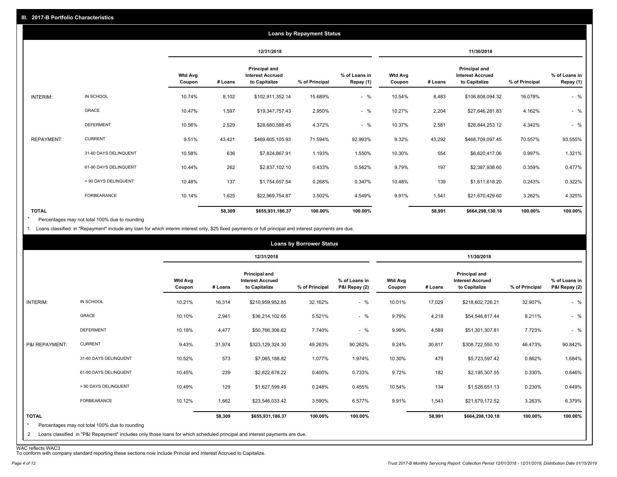|                   |                       |                          |         |                                                                  |                | <b>Loans by Repayment Status</b>                                                                                               |        |                |                            |         |         |
|-------------------|-----------------------|--------------------------|---------|------------------------------------------------------------------|----------------|--------------------------------------------------------------------------------------------------------------------------------|--------|----------------|----------------------------|---------|---------|
|                   |                       |                          |         | 12/31/2018                                                       | 11/30/2018     |                                                                                                                                |        |                |                            |         |         |
|                   |                       | <b>Wtd Avg</b><br>Coupon | # Loans | <b>Principal and</b><br><b>Interest Accrued</b><br>to Capitalize | % of Principal | Principal and<br>% of Loans in<br><b>Wtd Avg</b><br><b>Interest Accrued</b><br>to Capitalize<br>Repay (1)<br># Loans<br>Coupon |        | % of Principal | % of Loans in<br>Repay (1) |         |         |
| INTERIM:          | IN SCHOOL             | 10.74%                   | 8,102   | \$102,911,352.14                                                 | 15.689%        | $-$ %                                                                                                                          | 10.54% | 8,483          | \$106,808,094.32           | 16.078% | $-$ %   |
|                   | <b>GRACE</b>          | 10.47%                   | 1,597   | \$19,347,757.43                                                  | 2.950%         | $-$ %                                                                                                                          | 10.27% | 2,204          | \$27,646,281.83            | 4.162%  | $-$ %   |
|                   | <b>DEFERMENT</b>      | 10.56%                   | 2,529   | \$28,680,588.45                                                  | 4.372%         | $-$ %                                                                                                                          | 10.37% | 2,581          | \$28,844,253.12            | 4.342%  | $-$ %   |
| <b>REPAYMENT:</b> | <b>CURRENT</b>        | 9.51%                    | 43,421  | \$469,605,105.93                                                 | 71.594%        | 92.993%                                                                                                                        | 9.32%  | 43,292         | \$468,709,097.45           | 70.557% | 93.555% |
|                   | 31-60 DAYS DELINQUENT | 10.58%                   | 636     | \$7,824,867.91                                                   | 1.193%         | 1.550%                                                                                                                         | 10.30% | 554            | \$6,620,417.06             | 0.997%  | 1.321%  |
|                   | 61-90 DAYS DELINQUENT | 10.44%                   | 262     | \$2,837,102.10                                                   | 0.433%         | 0.562%                                                                                                                         | 9.79%  | 197            | \$2,387,938.60             | 0.359%  | 0.477%  |
|                   | > 90 DAYS DELINQUENT  | 10.48%                   | 137     | \$1,754,657.54                                                   | 0.268%         | 0.347%                                                                                                                         | 10.48% | 139            | \$1,611,618.20             | 0.243%  | 0.322%  |
|                   | <b>FORBEARANCE</b>    | 10.14%                   | 1,625   | \$22,969,754.87                                                  | 3.502%         | 4.549%                                                                                                                         | 9.91%  | 1,541          | \$21,670,429.60            | 3.262%  | 4.325%  |
| <b>TOTAL</b>      |                       |                          | 58,309  | \$655,931,186.37                                                 | 100.00%        | 100.00%                                                                                                                        |        | 58,991         | \$664,298,130.18           | 100.00% | 100.00% |

Percentages may not total 100% due to rounding \*

1 Loans classified in "Repayment" include any loan for which interim interest only, \$25 fixed payments or full principal and interest payments are due.

|                         |                                                                                                                            |                          |         |                                                           | <b>Loans by Borrower Status</b>                                                                                                                             |         |        |                |                                |         |         |
|-------------------------|----------------------------------------------------------------------------------------------------------------------------|--------------------------|---------|-----------------------------------------------------------|-------------------------------------------------------------------------------------------------------------------------------------------------------------|---------|--------|----------------|--------------------------------|---------|---------|
|                         |                                                                                                                            |                          |         | 12/31/2018                                                |                                                                                                                                                             |         |        |                | 11/30/2018                     |         |         |
|                         |                                                                                                                            | <b>Wtd Avg</b><br>Coupon | # Loans | Principal and<br><b>Interest Accrued</b><br>to Capitalize | <b>Principal and</b><br>% of Loans in<br><b>Wtd Avg</b><br><b>Interest Accrued</b><br>% of Principal<br>P&I Repay (2)<br># Loans<br>to Capitalize<br>Coupon |         |        | % of Principal | % of Loans in<br>P&I Repay (2) |         |         |
| INTERIM:                | IN SCHOOL                                                                                                                  | 10.21%                   | 16,314  | \$210,959,952.85                                          | 32.162%                                                                                                                                                     | $-$ %   | 10.01% | 17,029         | \$218,602,726.21               | 32.907% | $-$ %   |
|                         | <b>GRACE</b>                                                                                                               | 10.10%                   | 2,941   | \$36,214,102.65                                           | 5.521%                                                                                                                                                      | $-$ %   | 9.79%  | 4,218          | \$54,546,817.44                | 8.211%  | $-$ %   |
|                         | <b>DEFERMENT</b>                                                                                                           | 10.18%                   | 4,477   | \$50,766,306.62                                           | 7.740%                                                                                                                                                      | $-$ %   | 9.99%  | 4,589          | \$51,301,307.81                | 7.723%  | $-$ %   |
| P&I REPAYMENT:          | <b>CURRENT</b>                                                                                                             | 9.43%                    | 31,974  | \$323,129,324.30                                          | 49.263%                                                                                                                                                     | 90.262% | 9.24%  | 30,817         | \$308,722,550.10               | 46.473% | 90.842% |
|                         | 31-60 DAYS DELINQUENT                                                                                                      | 10.52%                   | 573     | \$7,065,188.82                                            | 1.077%                                                                                                                                                      | 1.974%  | 10.30% | 479            | \$5,723,597.42                 | 0.862%  | 1.684%  |
|                         | 61-90 DAYS DELINQUENT                                                                                                      | 10.45%                   | 239     | \$2,622,678.22                                            | 0.400%                                                                                                                                                      | 0.733%  | 9.72%  | 182            | \$2,195,307.55                 | 0.330%  | 0.646%  |
|                         | > 90 DAYS DELINQUENT                                                                                                       | 10.49%                   | 129     | \$1,627,599.49                                            | 0.248%                                                                                                                                                      | 0.455%  | 10.54% | 134            | \$1,526,651.13                 | 0.230%  | 0.449%  |
|                         | FORBEARANCE                                                                                                                | 10.12%                   | 1,662   | \$23,546,033.42                                           | 3.590%                                                                                                                                                      | 6.577%  | 9.91%  | 1,543          | \$21,679,172.52                | 3.263%  | 6.379%  |
| <b>TOTAL</b><br>$\star$ | Percentages may not total 100% due to rounding                                                                             |                          | 58,309  | \$655,931,186.37                                          | 100.00%                                                                                                                                                     | 100.00% |        | 58,991         | \$664,298,130.18               | 100.00% | 100.00% |
| $\overline{2}$          | Loans classified in "P&I Repayment" includes only those loans for which scheduled principal and interest payments are due. |                          |         |                                                           |                                                                                                                                                             |         |        |                |                                |         |         |

WAC reflects WAC3 To conform with company standard reporting these sections now include Princial and Interest Accrued to Capitalize.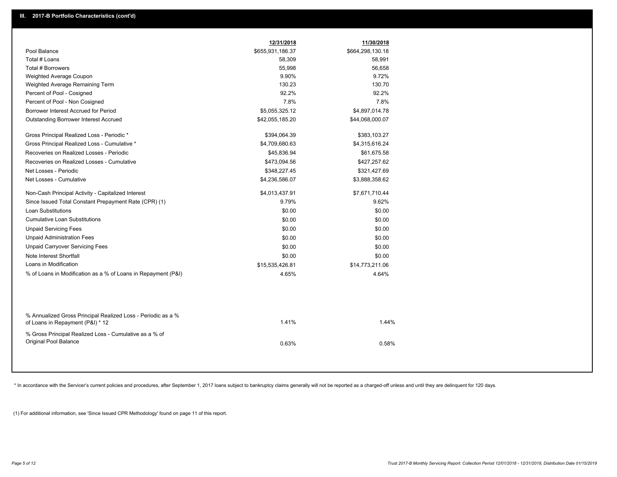|                                                                                 | 12/31/2018       | 11/30/2018       |
|---------------------------------------------------------------------------------|------------------|------------------|
| Pool Balance                                                                    | \$655,931,186.37 | \$664,298,130.18 |
| Total # Loans                                                                   | 58,309           | 58,991           |
| Total # Borrowers                                                               | 55,998           | 56,658           |
| Weighted Average Coupon                                                         | 9.90%            | 9.72%            |
| Weighted Average Remaining Term                                                 | 130.23           | 130.70           |
| Percent of Pool - Cosigned                                                      | 92.2%            | 92.2%            |
| Percent of Pool - Non Cosigned                                                  | 7.8%             | 7.8%             |
| Borrower Interest Accrued for Period                                            | \$5,055,325.12   | \$4,897,014.78   |
| Outstanding Borrower Interest Accrued                                           | \$42,055,185.20  | \$44,068,000.07  |
|                                                                                 |                  |                  |
| Gross Principal Realized Loss - Periodic *                                      | \$394,064.39     | \$383,103.27     |
| Gross Principal Realized Loss - Cumulative *                                    | \$4,709,680.63   | \$4,315,616.24   |
| Recoveries on Realized Losses - Periodic                                        | \$45,836.94      | \$61,675.58      |
| Recoveries on Realized Losses - Cumulative                                      | \$473,094.56     | \$427,257.62     |
| Net Losses - Periodic                                                           | \$348,227.45     | \$321,427.69     |
| Net Losses - Cumulative                                                         | \$4,236,586.07   | \$3,888,358.62   |
| Non-Cash Principal Activity - Capitalized Interest                              | \$4,013,437.91   | \$7,671,710.44   |
| Since Issued Total Constant Prepayment Rate (CPR) (1)                           | 9.79%            | 9.62%            |
| Loan Substitutions                                                              | \$0.00           | \$0.00           |
| <b>Cumulative Loan Substitutions</b>                                            | \$0.00           | \$0.00           |
| <b>Unpaid Servicing Fees</b>                                                    | \$0.00           | \$0.00           |
| <b>Unpaid Administration Fees</b>                                               | \$0.00           | \$0.00           |
| <b>Unpaid Carryover Servicing Fees</b>                                          | \$0.00           | \$0.00           |
| Note Interest Shortfall                                                         | \$0.00           | \$0.00           |
| Loans in Modification                                                           | \$15,535,426.81  | \$14,773,211.06  |
| % of Loans in Modification as a % of Loans in Repayment (P&I)                   | 4.65%            | 4.64%            |
|                                                                                 |                  |                  |
|                                                                                 |                  |                  |
|                                                                                 |                  |                  |
| % Annualized Gross Principal Realized Loss - Periodic as a %                    |                  |                  |
| of Loans in Repayment (P&I) * 12                                                | 1.41%            | 1.44%            |
|                                                                                 |                  |                  |
| % Gross Principal Realized Loss - Cumulative as a % of<br>Original Pool Balance |                  |                  |
|                                                                                 | 0.63%            | 0.58%            |
|                                                                                 |                  |                  |

\* In accordance with the Servicer's current policies and procedures, after September 1, 2017 loans subject to bankruptcy claims generally will not be reported as a charged-off unless and until they are delinquent for 120 d

(1) For additional information, see 'Since Issued CPR Methodology' found on page 11 of this report.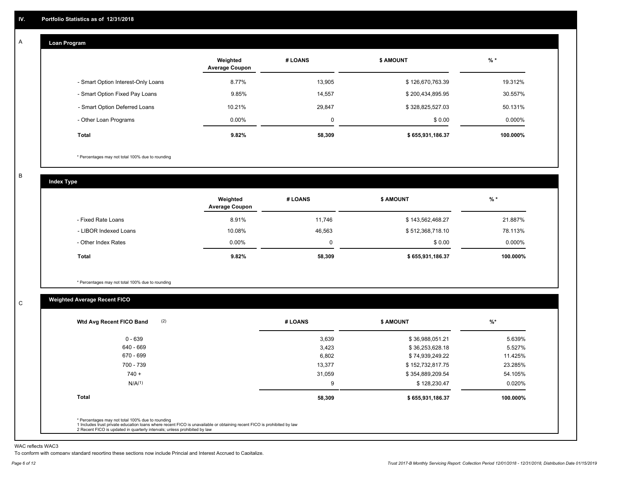#### **Loan Program**  A

|                                    | Weighted<br><b>Average Coupon</b> | # LOANS | <b>\$ AMOUNT</b> | $%$ *     |
|------------------------------------|-----------------------------------|---------|------------------|-----------|
| - Smart Option Interest-Only Loans | 8.77%                             | 13,905  | \$126,670,763.39 | 19.312%   |
| - Smart Option Fixed Pay Loans     | 9.85%                             | 14,557  | \$200,434,895.95 | 30.557%   |
| - Smart Option Deferred Loans      | 10.21%                            | 29.847  | \$328,825,527.03 | 50.131%   |
| - Other Loan Programs              | $0.00\%$                          | 0       | \$0.00           | $0.000\%$ |
| <b>Total</b>                       | 9.82%                             | 58,309  | \$655,931,186.37 | 100.000%  |

\* Percentages may not total 100% due to rounding

B

C

**Index Type**

|                       | Weighted<br><b>Average Coupon</b> | # LOANS | <b>\$ AMOUNT</b> | $%$ *    |
|-----------------------|-----------------------------------|---------|------------------|----------|
| - Fixed Rate Loans    | 8.91%                             | 11.746  | \$143,562,468.27 | 21.887%  |
| - LIBOR Indexed Loans | 10.08%                            | 46,563  | \$512,368,718.10 | 78.113%  |
| - Other Index Rates   | $0.00\%$                          |         | \$0.00           | 0.000%   |
| Total                 | 9.82%                             | 58,309  | \$655,931,186.37 | 100.000% |

\* Percentages may not total 100% due to rounding

### **Weighted Average Recent FICO**

| # LOANS | <b>\$ AMOUNT</b> | %        |
|---------|------------------|----------|
| 3,639   | \$36,988,051.21  | 5.639%   |
| 3,423   | \$36,253,628.18  | 5.527%   |
| 6,802   | \$74,939,249.22  | 11.425%  |
| 13,377  | \$152,732,817.75 | 23.285%  |
| 31,059  | \$354,889,209.54 | 54.105%  |
| 9       | \$128,230.47     | 0.020%   |
| 58,309  | \$655,931,186.37 | 100.000% |
|         |                  |          |
|         |                  |          |

WAC reflects WAC3

To conform with company standard reporting these sections now include Princial and Interest Accrued to Capitalize.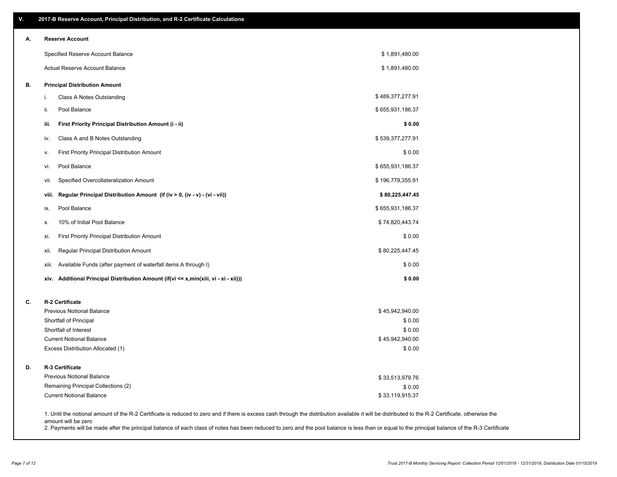| V. | 2017-B Reserve Account, Principal Distribution, and R-2 Certificate Calculations                                                                                                                   |                           |  |
|----|----------------------------------------------------------------------------------------------------------------------------------------------------------------------------------------------------|---------------------------|--|
| А. | <b>Reserve Account</b>                                                                                                                                                                             |                           |  |
|    | Specified Reserve Account Balance                                                                                                                                                                  | \$1,891,480.00            |  |
|    | Actual Reserve Account Balance                                                                                                                                                                     | \$1,891,480.00            |  |
| В. | <b>Principal Distribution Amount</b>                                                                                                                                                               |                           |  |
|    | Class A Notes Outstanding<br>i.                                                                                                                                                                    | \$489,377,277.91          |  |
|    | Pool Balance<br>ii.                                                                                                                                                                                | \$655,931,186.37          |  |
|    | iii.<br>First Priority Principal Distribution Amount (i - ii)                                                                                                                                      | \$0.00                    |  |
|    | Class A and B Notes Outstanding<br>iv.                                                                                                                                                             | \$539,377,277.91          |  |
|    | First Priority Principal Distribution Amount<br>ν.                                                                                                                                                 | \$0.00                    |  |
|    | Pool Balance<br>vi.                                                                                                                                                                                | \$655,931,186.37          |  |
|    | Specified Overcollateralization Amount<br>vii.                                                                                                                                                     | \$196,779,355.91          |  |
|    | Regular Principal Distribution Amount (if (iv > 0, (iv - v) - (vi - vii))<br>viii.                                                                                                                 | \$80,225,447.45           |  |
|    | Pool Balance<br>ix.                                                                                                                                                                                | \$655,931,186.37          |  |
|    | 10% of Initial Pool Balance<br>х.                                                                                                                                                                  | \$74,820,443.74           |  |
|    | First Priority Principal Distribution Amount<br>xi.                                                                                                                                                | \$0.00                    |  |
|    | Regular Principal Distribution Amount<br>xii.                                                                                                                                                      | \$80,225,447.45           |  |
|    | Available Funds (after payment of waterfall items A through I)<br>xiii.                                                                                                                            | \$0.00                    |  |
|    | xiv. Additional Principal Distribution Amount (if(vi <= x,min(xiii, vi - xi - xii)))                                                                                                               | \$0.00                    |  |
| C. | R-2 Certificate                                                                                                                                                                                    |                           |  |
|    | <b>Previous Notional Balance</b>                                                                                                                                                                   | \$45,942,940.00           |  |
|    | Shortfall of Principal                                                                                                                                                                             | \$0.00                    |  |
|    | Shortfall of Interest                                                                                                                                                                              | \$0.00                    |  |
|    | <b>Current Notional Balance</b><br>Excess Distribution Allocated (1)                                                                                                                               | \$45,942,940.00<br>\$0.00 |  |
| D. | R-3 Certificate                                                                                                                                                                                    |                           |  |
|    | <b>Previous Notional Balance</b>                                                                                                                                                                   | \$33,513,979.76           |  |
|    | Remaining Principal Collections (2)                                                                                                                                                                | \$0.00                    |  |
|    | <b>Current Notional Balance</b>                                                                                                                                                                    | \$33,119,915.37           |  |
|    | 1. Until the notional amount of the R-2 Certificate is reduced to zero and if there is excess cash through the distribution available it will be distributed to the R-2 Certificate, otherwise the |                           |  |

amount will be zero

2. Payments will be made after the principal balance of each class of notes has been reduced to zero and the pool balance is less than or equal to the principal balance of the R-3 Certificate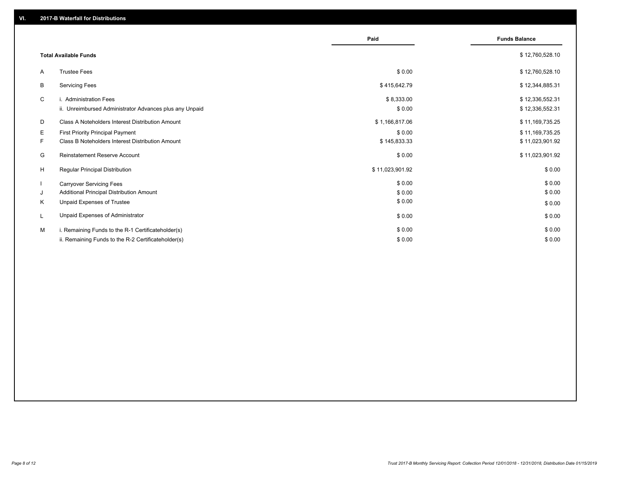|    |                                                         | Paid            | <b>Funds Balance</b> |
|----|---------------------------------------------------------|-----------------|----------------------|
|    |                                                         |                 |                      |
|    | <b>Total Available Funds</b>                            |                 | \$12,760,528.10      |
| A  | <b>Trustee Fees</b>                                     | \$0.00          | \$12,760,528.10      |
| В  | <b>Servicing Fees</b>                                   | \$415,642.79    | \$12,344,885.31      |
| C  | i. Administration Fees                                  | \$8,333.00      | \$12,336,552.31      |
|    | ii. Unreimbursed Administrator Advances plus any Unpaid | \$0.00          | \$12,336,552.31      |
| D  | Class A Noteholders Interest Distribution Amount        | \$1,166,817.06  | \$11,169,735.25      |
| Е  | <b>First Priority Principal Payment</b>                 | \$0.00          | \$11,169,735.25      |
| F. | Class B Noteholders Interest Distribution Amount        | \$145,833.33    | \$11,023,901.92      |
| G  | <b>Reinstatement Reserve Account</b>                    | \$0.00          | \$11,023,901.92      |
| H  | Regular Principal Distribution                          | \$11,023,901.92 | \$0.00               |
|    | <b>Carryover Servicing Fees</b>                         | \$0.00          | \$0.00               |
| J  | Additional Principal Distribution Amount                | \$0.00          | \$0.00               |
| ĸ  | Unpaid Expenses of Trustee                              | \$0.00          | \$0.00               |
| L  | Unpaid Expenses of Administrator                        | \$0.00          | \$0.00               |
| м  | i. Remaining Funds to the R-1 Certificateholder(s)      | \$0.00          | \$0.00               |
|    | ii. Remaining Funds to the R-2 Certificateholder(s)     | \$0.00          | \$0.00               |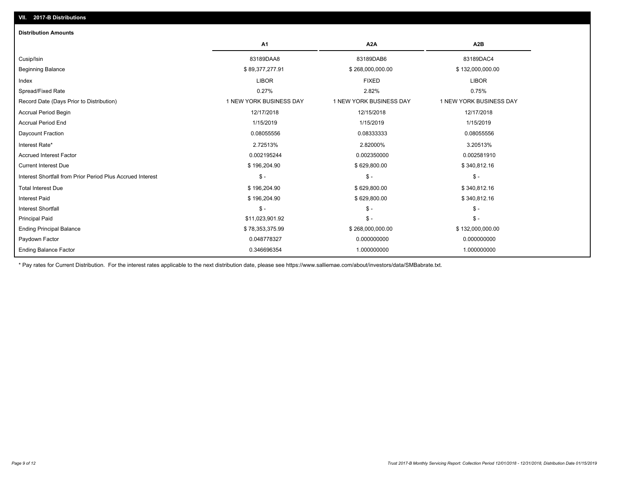| <b>Distribution Amounts</b>                                |                         |                         |                         |
|------------------------------------------------------------|-------------------------|-------------------------|-------------------------|
|                                                            | A <sub>1</sub>          | A2A                     | A <sub>2</sub> B        |
| Cusip/Isin                                                 | 83189DAA8               | 83189DAB6               | 83189DAC4               |
| <b>Beginning Balance</b>                                   | \$89,377,277.91         | \$268,000,000.00        | \$132,000,000.00        |
| Index                                                      | <b>LIBOR</b>            | <b>FIXED</b>            | <b>LIBOR</b>            |
| Spread/Fixed Rate                                          | 0.27%                   | 2.82%                   | 0.75%                   |
| Record Date (Days Prior to Distribution)                   | 1 NEW YORK BUSINESS DAY | 1 NEW YORK BUSINESS DAY | 1 NEW YORK BUSINESS DAY |
| <b>Accrual Period Begin</b>                                | 12/17/2018              | 12/15/2018              | 12/17/2018              |
| <b>Accrual Period End</b>                                  | 1/15/2019               | 1/15/2019               | 1/15/2019               |
| Daycount Fraction                                          | 0.08055556              | 0.08333333              | 0.08055556              |
| Interest Rate*                                             | 2.72513%                | 2.82000%                | 3.20513%                |
| <b>Accrued Interest Factor</b>                             | 0.002195244             | 0.002350000             | 0.002581910             |
| <b>Current Interest Due</b>                                | \$196,204.90            | \$629,800.00            | \$340,812.16            |
| Interest Shortfall from Prior Period Plus Accrued Interest | $\mathsf{\$}$ -         | $\mathsf{\$}$ -         | $\mathsf{\$}$ -         |
| <b>Total Interest Due</b>                                  | \$196,204.90            | \$629,800.00            | \$340,812.16            |
| <b>Interest Paid</b>                                       | \$196,204.90            | \$629,800.00            | \$340,812.16            |
| <b>Interest Shortfall</b>                                  | $\mathsf{\$}$ -         | $\mathsf{\$}$ -         | $$ -$                   |
| <b>Principal Paid</b>                                      | \$11,023,901.92         | $\mathsf{\$}$ -         | $$ -$                   |
| <b>Ending Principal Balance</b>                            | \$78,353,375.99         | \$268,000,000.00        | \$132,000,000.00        |
| Paydown Factor                                             | 0.048778327             | 0.000000000             | 0.000000000             |
| <b>Ending Balance Factor</b>                               | 0.346696354             | 1.000000000             | 1.000000000             |

\* Pay rates for Current Distribution. For the interest rates applicable to the next distribution date, please see https://www.salliemae.com/about/investors/data/SMBabrate.txt.

**VII. 2017-B Distributions**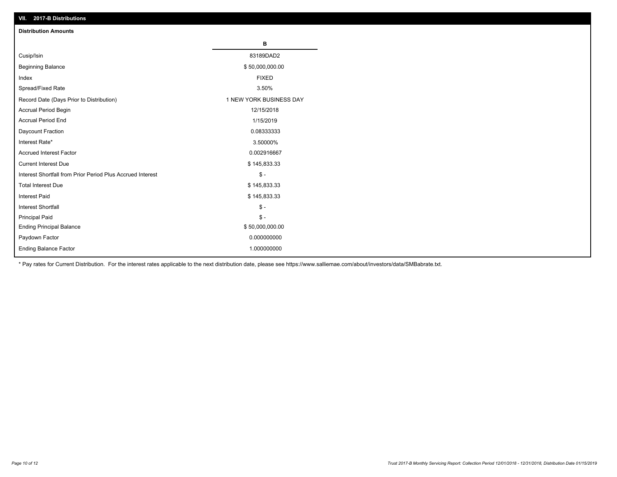| VII. 2017-B Distributions                                  |                         |
|------------------------------------------------------------|-------------------------|
| <b>Distribution Amounts</b>                                |                         |
|                                                            | в                       |
| Cusip/Isin                                                 | 83189DAD2               |
| <b>Beginning Balance</b>                                   | \$50,000,000.00         |
| Index                                                      | <b>FIXED</b>            |
| Spread/Fixed Rate                                          | 3.50%                   |
| Record Date (Days Prior to Distribution)                   | 1 NEW YORK BUSINESS DAY |
| Accrual Period Begin                                       | 12/15/2018              |
| <b>Accrual Period End</b>                                  | 1/15/2019               |
| Daycount Fraction                                          | 0.08333333              |
| Interest Rate*                                             | 3.50000%                |
| <b>Accrued Interest Factor</b>                             | 0.002916667             |
| <b>Current Interest Due</b>                                | \$145,833.33            |
| Interest Shortfall from Prior Period Plus Accrued Interest | $$ -$                   |
| <b>Total Interest Due</b>                                  | \$145,833.33            |
| Interest Paid                                              | \$145,833.33            |
| Interest Shortfall                                         | $\frac{1}{2}$           |
| <b>Principal Paid</b>                                      | $$ -$                   |
| <b>Ending Principal Balance</b>                            | \$50,000,000.00         |
| Paydown Factor                                             | 0.000000000             |
| Ending Balance Factor                                      | 1.000000000             |

\* Pay rates for Current Distribution. For the interest rates applicable to the next distribution date, please see https://www.salliemae.com/about/investors/data/SMBabrate.txt.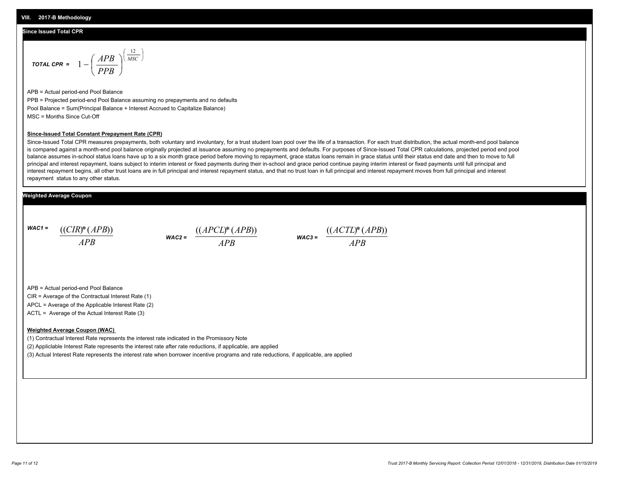#### **Since Issued Total CPR**

$$
\text{total CPR} = 1 - \left(\frac{APB}{PPB}\right)^{\left(\frac{12}{MSC}\right)}
$$

APB = Actual period-end Pool Balance PPB = Projected period-end Pool Balance assuming no prepayments and no defaults Pool Balance = Sum(Principal Balance + Interest Accrued to Capitalize Balance) MSC = Months Since Cut-Off

#### **Since-Issued Total Constant Prepayment Rate (CPR)**

Since-Issued Total CPR measures prepayments, both voluntary and involuntary, for a trust student loan pool over the life of a transaction. For each trust distribution, the actual month-end pool balance is compared against a month-end pool balance originally projected at issuance assuming no prepayments and defaults. For purposes of Since-Issued Total CPR calculations, projected period end pool balance assumes in-school status loans have up to a six month grace period before moving to repayment, grace status loans remain in grace status until their status end date and then to move to full principal and interest repayment, loans subject to interim interest or fixed payments during their in-school and grace period continue paying interim interest or fixed payments until full principal and interest repayment begins, all other trust loans are in full principal and interest repayment status, and that no trust loan in full principal and interest repayment moves from full principal and interest repayment status to any other status.

#### **Weighted Average Coupon**

*WAC1 = APB* ((*CIR*)\*(*APB*))

*WAC2 = APB*



APB = Actual period-end Pool Balance

CIR = Average of the Contractual Interest Rate (1)

APCL = Average of the Applicable Interest Rate (2)

ACTL = Average of the Actual Interest Rate (3)

#### **Weighted Average Coupon (WAC)**

(1) Contractual Interest Rate represents the interest rate indicated in the Promissory Note

(2) Appliclable Interest Rate represents the interest rate after rate reductions, if applicable, are applied

(3) Actual Interest Rate represents the interest rate when borrower incentive programs and rate reductions, if applicable, are applied